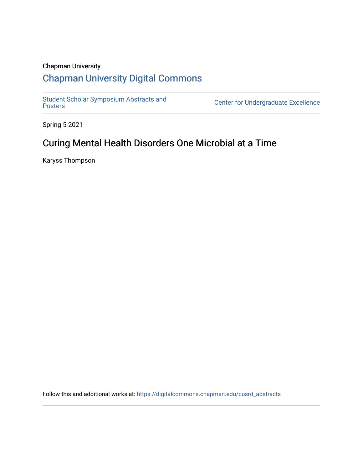#### Chapman University

## [Chapman University Digital Commons](https://digitalcommons.chapman.edu/)

[Student Scholar Symposium Abstracts and](https://digitalcommons.chapman.edu/cusrd_abstracts) 

Center for Undergraduate Excellence

Spring 5-2021

# Curing Mental Health Disorders One Microbial at a Time

Karyss Thompson

Follow this and additional works at: [https://digitalcommons.chapman.edu/cusrd\\_abstracts](https://digitalcommons.chapman.edu/cusrd_abstracts?utm_source=digitalcommons.chapman.edu%2Fcusrd_abstracts%2F428&utm_medium=PDF&utm_campaign=PDFCoverPages)